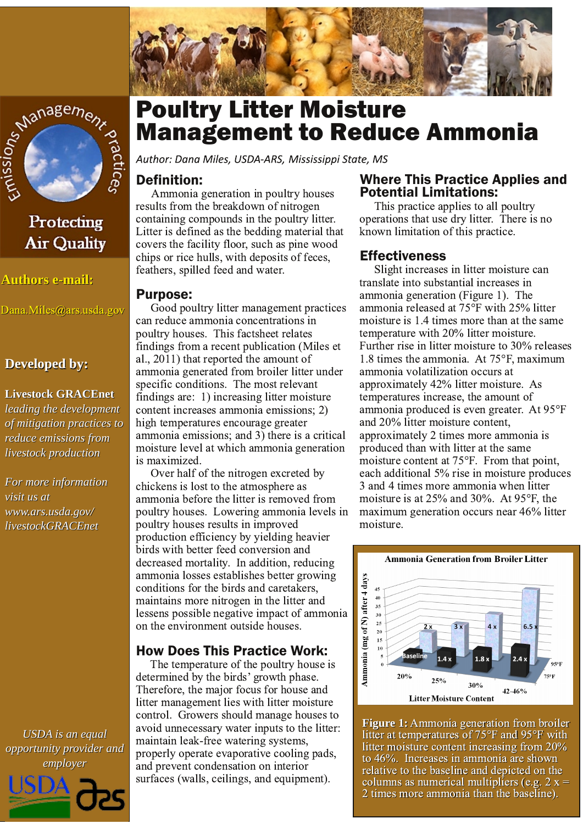



# Protecting **Air Quality**

**Authors e-mail:** 

Dana.Miles@ars.usda.gov

#### **Developed by:**

#### **Livestock GRACEnet**

leading the development of mitigation practices to reduce emissions from livestock production

For more information visit us at www.ars.usda.gov/ livestockGRACEnet

**USDA** is an equal opportunity provider and employer



# **Poultry Litter Moisture Management to Reduce Ammonia**

Author: Dana Miles, USDA-ARS, Mississippi State, MS

### **Definition:**

Ammonia generation in poultry houses results from the breakdown of nitrogen containing compounds in the poultry litter. Litter is defined as the bedding material that covers the facility floor, such as pine wood chips or rice hulls, with deposits of feces, feathers, spilled feed and water.

#### **Purpose:**

Good poultry litter management practices can reduce ammonia concentrations in poultry houses. This factsheet relates findings from a recent publication (Miles et al., 2011) that reported the amount of ammonia generated from broiler litter under specific conditions. The most relevant findings are: 1) increasing litter moisture content increases ammonia emissions; 2) high temperatures encourage greater ammonia emissions; and 3) there is a critical moisture level at which ammonia generation is maximized.

Over half of the nitrogen excreted by chickens is lost to the atmosphere as ammonia before the litter is removed from poultry houses. Lowering ammonia levels in poultry houses results in improved production efficiency by yielding heavier birds with better feed conversion and decreased mortality. In addition, reducing ammonia losses establishes better growing conditions for the birds and caretakers. maintains more nitrogen in the litter and lessens possible negative impact of ammonia on the environment outside houses.

## **How Does This Practice Work:**

The temperature of the poultry house is determined by the birds' growth phase. Therefore, the major focus for house and litter management lies with litter moisture control. Growers should manage houses to avoid unnecessary water inputs to the litter: maintain leak-free watering systems, properly operate evaporative cooling pads, and prevent condensation on interior surfaces (walls, ceilings, and equipment).

#### **Where This Practice Applies and Potential Limitations:**

This practice applies to all poultry operations that use dry litter. There is no known limitation of this practice.

#### **Effectiveness**

Slight increases in litter moisture can translate into substantial increases in ammonia generation (Figure 1). The ammonia released at  $75^{\circ}$ F with 25% litter moisture is 1.4 times more than at the same temperature with 20% litter moisture. Further rise in litter moisture to 30% releases 1.8 times the ammonia. At  $75^{\circ}$ F, maximum ammonia volatilization occurs at approximately 42% litter moisture. As temperatures increase, the amount of ammonia produced is even greater. At 95°F and 20% litter moisture content, approximately 2 times more ammonia is produced than with litter at the same moisture content at 75°F. From that point, each additional 5% rise in moisture produces 3 and 4 times more ammonia when litter moisture is at  $25\%$  and  $30\%$ . At  $95^{\circ}$ F, the maximum generation occurs near 46% litter moisture.



**Figure 1:** Ammonia generation from broiler litter at temperatures of 75°F and 95°F with litter moisture content increasing from 20% to 46%. Increases in ammonia are shown relative to the baseline and depicted on the columns as numerical multipliers (e.g.  $2 x =$ 2 times more ammonia than the baseline).